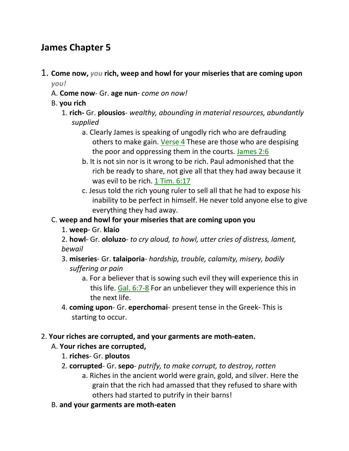# **James Chapter 5**

- 1. **Come now,** *you* **rich, weep and howl for your miseries that are coming upon**  *you!*
	- A. **Come now** Gr. **age nun** *come on now!*
	- B. **you rich**
		- 1. **rich-** Gr. **plousios** *wealthy, abounding in material resources, abundantly supplied*
			- a. Clearly James is speaking of ungodly rich who are defrauding others to make gain. Verse 4 These are those who are despising the poor and oppressing them in the courts. James 2:6
			- b. It is not sin nor is it wrong to be rich. Paul admonished that the rich be ready to share, not give all that they had away because it was evil to be rich. 1 Tim. 6:17
			- c. Jesus told the rich young ruler to sell all that he had to expose his inability to be perfect in himself. He never told anyone else to give everything they had away.
	- C. **weep and howl for your miseries that are coming upon you**
		- 1. **weep** Gr. **klaio**
		- 2. **howl** Gr. **ololuzo** *to cry aloud, to howl, utter cries of distress, lament, bewail*
		- 3. **miseries** Gr. **talaiporia** *hardship, trouble, calamity, misery, bodily suffering or pain*
			- a. For a believer that is sowing such evil they will experience this in this life. Gal. 6:7-8 For an unbeliever they will experience this in the next life.
		- 4. **coming upon** Gr. **eperchomai** present tense in the Greek- This is starting to occur.
- 2. **Your riches are corrupted, and your garments are moth-eaten.**
	- A. **Your riches are corrupted,**
		- 1. **riches** Gr. **ploutos**
		- 2. **corrupted** Gr. **sepo** *putrify, to make corrupt, to destroy, rotten*
			- a. Riches in the ancient world were grain, gold, and silver. Here the grain that the rich had amassed that they refused to share with others had started to putrify in their barns!
	- B. **and your garments are moth-eaten**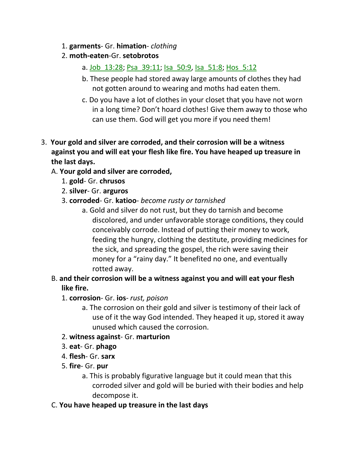- 1. **garments** Gr. **himation** *clothing*
- 2. **moth-eaten**-Gr. **setobrotos**
	- a. Job\_13:28; Psa\_39:11; Isa\_50:9, Isa\_51:8; Hos\_5:12
	- b. These people had stored away large amounts of clothes they had not gotten around to wearing and moths had eaten them.
	- c. Do you have a lot of clothes in your closet that you have not worn in a long time? Don't hoard clothes! Give them away to those who can use them. God will get you more if you need them!
- 3. **Your gold and silver are corroded, and their corrosion will be a witness against you and will eat your flesh like fire. You have heaped up treasure in the last days.** 
	- A. **Your gold and silver are corroded,**
		- 1. **gold** Gr. **chrusos**
		- 2. **silver** Gr. **arguros**
		- 3. **corroded** Gr. **katioo** *become rusty or tarnished*
			- a. Gold and silver do not rust, but they do tarnish and become discolored, and under unfavorable storage conditions, they could conceivably corrode. Instead of putting their money to work, feeding the hungry, clothing the destitute, providing medicines for the sick, and spreading the gospel, the rich were saving their money for a "rainy day." It benefited no one, and eventually rotted away.
	- B. **and their corrosion will be a witness against you and will eat your flesh like fire.**
		- 1. **corrosion** Gr. **ios** *rust, poison*
			- a. The corrosion on their gold and silver is testimony of their lack of use of it the way God intended. They heaped it up, stored it away unused which caused the corrosion.
		- 2. **witness against** Gr. **marturion**
		- 3. **eat** Gr. **phago**
		- 4. **flesh** Gr. **sarx**
		- 5. **fire** Gr. **pur**
			- a. This is probably figurative language but it could mean that this corroded silver and gold will be buried with their bodies and help decompose it.
	- C. **You have heaped up treasure in the last days**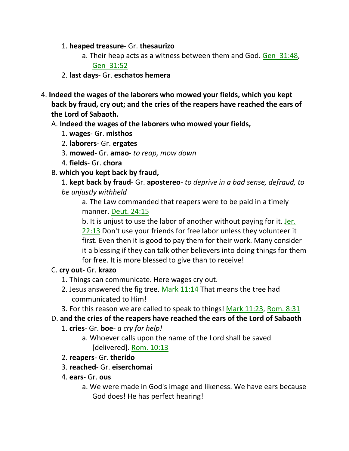- 1. **heaped treasure** Gr. **thesaurizo**
	- a. Their heap acts as a witness between them and God. Gen 31:48, Gen\_31:52
- 2. **last days** Gr. **eschatos hemera**
- 4. **Indeed the wages of the laborers who mowed your fields, which you kept back by fraud, cry out; and the cries of the reapers have reached the ears of the Lord of Sabaoth.** 
	- A. **Indeed the wages of the laborers who mowed your fields,**
		- 1. **wages** Gr. **misthos**
		- 2. **laborers** Gr. **ergates**
		- 3. **mowed** Gr. **amao** *to reap, mow down*
		- 4. **fields** Gr. **chora**
	- B. **which you kept back by fraud,**
		- 1. **kept back by fraud** Gr. **apostereo** *to deprive in a bad sense, defraud, to be unjustly withheld*

a. The Law commanded that reapers were to be paid in a timely manner. Deut. 24:15

b. It is unjust to use the labor of another without paying for it. Jer. 22:13 Don't use your friends for free labor unless they volunteer it first. Even then it is good to pay them for their work. Many consider it a blessing if they can talk other believers into doing things for them for free. It is more blessed to give than to receive!

### C. **cry out**- Gr. **krazo**

- 1. Things can communicate. Here wages cry out.
- 2. Jesus answered the fig tree. Mark 11:14 That means the tree had communicated to Him!
- 3. For this reason we are called to speak to things! Mark 11:23, Rom. 8:31
- D. **and the cries of the reapers have reached the ears of the Lord of Sabaoth**
	- 1. **cries** Gr. **boe** *a cry for help!*
		- a. Whoever calls upon the name of the Lord shall be saved [delivered]. Rom. 10:13
	- 2. **reapers** Gr. **therido**
	- 3. **reached** Gr. **eiserchomai**
	- 4. **ears** Gr. **ous**
		- a. We were made in God's image and likeness. We have ears because God does! He has perfect hearing!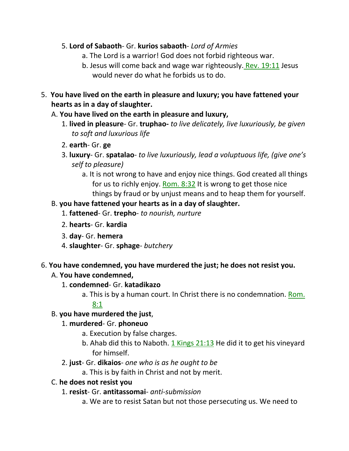- 5. **Lord of Sabaoth** Gr. **kurios sabaoth** *Lord of Armies*
	- a. The Lord is a warrior! God does not forbid righteous war.
	- b. Jesus will come back and wage war righteously. Rev. 19:11 Jesus would never do what he forbids us to do.
- 5. **You have lived on the earth in pleasure and luxury; you have fattened your hearts as in a day of slaughter.** 
	- A. **You have lived on the earth in pleasure and luxury,**
		- 1. **lived in pleasure** Gr. **truphao-** *to live delicately, live luxuriously, be given to soft and luxurious life*
		- 2. **earth** Gr. **ge**
		- 3. **luxury** Gr. **spatalao** *to live luxuriously, lead a voluptuous life, (give one's self to pleasure)*
			- a. It is not wrong to have and enjoy nice things. God created all things for us to richly enjoy. Rom. 8:32 It is wrong to get those nice things by fraud or by unjust means and to heap them for yourself.

### B. **you have fattened your hearts as in a day of slaughter.**

- 1. **fattened** Gr. **trepho** *to nourish, nurture*
- 2. **hearts** Gr. **kardia**
- 3. **day** Gr. **hemera**
- 4. **slaughter** Gr. **sphage** *butchery*

#### 6. **You have condemned, you have murdered the just; he does not resist you.**

#### A. **You have condemned,**

- 1. **condemned** Gr. **katadikazo**
	- a. This is by a human court. In Christ there is no condemnation. Rom. 8:1

### B. **you have murdered the just**,

### 1. **murdered**- Gr. **phoneuo**

- a. Execution by false charges.
- b. Ahab did this to Naboth. 1 Kings 21:13 He did it to get his vineyard for himself.
- 2. **just** Gr. **dikaios** *one who is as he ought to be*
	- a. This is by faith in Christ and not by merit.

### C. **he does not resist you**

- 1. **resist** Gr. **antitassomai** *anti-submission*
	- a. We are to resist Satan but not those persecuting us. We need to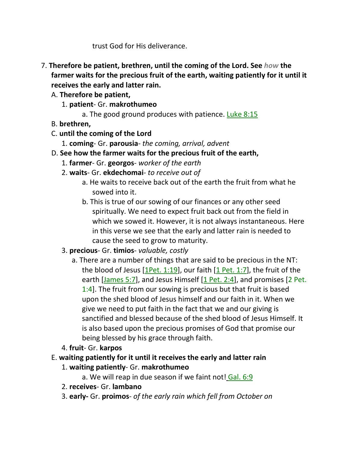trust God for His deliverance.

- 7. **Therefore be patient, brethren, until the coming of the Lord. See** *how* **the farmer waits for the precious fruit of the earth, waiting patiently for it until it receives the early and latter rain.** 
	- A. **Therefore be patient,**
		- 1. **patient** Gr. **makrothumeo**
			- a. The good ground produces with patience. Luke 8:15
	- B. **brethren,**
	- C. **until the coming of the Lord**
		- 1. **coming** Gr. **parousia** *the coming, arrival, advent*
	- D. **See how the farmer waits for the precious fruit of the earth,**
		- 1. **farmer** Gr. **georgos** *worker of the earth*
		- 2. **waits** Gr. **ekdechomai** *to receive out of*
			- a. He waits to receive back out of the earth the fruit from what he sowed into it.
			- b. This is true of our sowing of our finances or any other seed spiritually. We need to expect fruit back out from the field in which we sowed it. However, it is not always instantaneous. Here in this verse we see that the early and latter rain is needed to cause the seed to grow to maturity.

# 3. **precious**- Gr. **timios**- *valuable, costly*

- a. There are a number of things that are said to be precious in the NT: the blood of Jesus [1Pet. 1:19], our faith [1 Pet. 1:7], the fruit of the earth [James 5:7], and Jesus Himself [1 Pet. 2:4], and promises [2 Pet. 1:4]. The fruit from our sowing is precious but that fruit is based upon the shed blood of Jesus himself and our faith in it. When we give we need to put faith in the fact that we and our giving is sanctified and blessed because of the shed blood of Jesus Himself. It is also based upon the precious promises of God that promise our being blessed by his grace through faith.
- 4. **fruit** Gr. **karpos**
- E. **waiting patiently for it until it receives the early and latter rain**
	- 1. **waiting patiently** Gr. **makrothumeo**
		- a. We will reap in due season if we faint not! Gal. 6:9
	- 2. **receives** Gr. **lambano**
	- 3. **early-** Gr. **proimos** *of the early rain which fell from October on*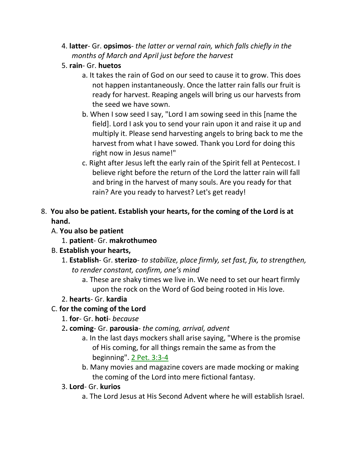- 4. **latter** Gr. **opsimos** *the latter or vernal rain, which falls chiefly in the months of March and April just before the harvest*
- 5. **rain** Gr. **huetos**
	- a. It takes the rain of God on our seed to cause it to grow. This does not happen instantaneously. Once the latter rain falls our fruit is ready for harvest. Reaping angels will bring us our harvests from the seed we have sown.
	- b. When I sow seed I say, "Lord I am sowing seed in this [name the field]. Lord I ask you to send your rain upon it and raise it up and multiply it. Please send harvesting angels to bring back to me the harvest from what I have sowed. Thank you Lord for doing this right now in Jesus name!"
	- c. Right after Jesus left the early rain of the Spirit fell at Pentecost. I believe right before the return of the Lord the latter rain will fall and bring in the harvest of many souls. Are you ready for that rain? Are you ready to harvest? Let's get ready!
- 8. **You also be patient. Establish your hearts, for the coming of the Lord is at hand.**
	- A. **You also be patient**
		- 1. **patient** Gr. **makrothumeo**
	- B. **Establish your hearts,**
		- 1. **Establish** Gr. **sterizo** *to stabilize, place firmly, set fast, fix, to strengthen, to render constant, confirm, one's mind*
			- a. These are shaky times we live in. We need to set our heart firmly upon the rock on the Word of God being rooted in His love.
		- 2. **hearts** Gr. **kardia**
	- C. **for the coming of the Lord**
		- 1. **for** Gr. **hoti** *because*
		- 2**. coming** Gr. **parousia** *the coming, arrival, advent*
			- a. In the last days mockers shall arise saying, "Where is the promise of His coming, for all things remain the same as from the beginning". 2 Pet. 3:3-4
			- b. Many movies and magazine covers are made mocking or making the coming of the Lord into mere fictional fantasy.
		- 3. **Lord** Gr. **kurios**
			- a. The Lord Jesus at His Second Advent where he will establish Israel.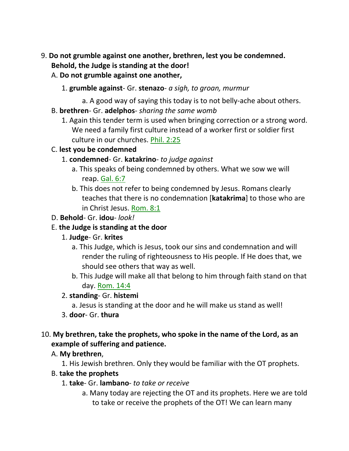- 9. **Do not grumble against one another, brethren, lest you be condemned. Behold, the Judge is standing at the door!** 
	- A. **Do not grumble against one another,**
		- 1. **grumble against** Gr. **stenazo** *a sigh, to groan, murmur*
		- a. A good way of saying this today is to not belly-ache about others.
	- B. **brethren** Gr. **adelphos** *sharing the same womb*
		- 1. Again this tender term is used when bringing correction or a strong word. We need a family first culture instead of a worker first or soldier first culture in our churches. Phil. 2:25

### C. **lest you be condemned**

- 1. **condemned** Gr. **katakrino** *to judge against*
	- a. This speaks of being condemned by others. What we sow we will reap. Gal. 6:7
	- b. This does not refer to being condemned by Jesus. Romans clearly teaches that there is no condemnation [**katakrima**] to those who are in Christ Jesus. Rom. 8:1

#### D. **Behold**- Gr. **idou**- *look!*

### E. **the Judge is standing at the door**

### 1. **Judge**- Gr. **krites**

- a. This Judge, which is Jesus, took our sins and condemnation and will render the ruling of righteousness to His people. If He does that, we should see others that way as well.
- b. This Judge will make all that belong to him through faith stand on that day. Rom. 14:4

### 2. **standing**- Gr. **histemi**

- a. Jesus is standing at the door and he will make us stand as well!
- 3. **door** Gr. **thura**

### 10. **My brethren, take the prophets, who spoke in the name of the Lord, as an example of suffering and patience.**

### A. **My brethren**,

1. His Jewish brethren. Only they would be familiar with the OT prophets.

### B. **take the prophets**

- 1. **take** Gr. **lambano** *to take or receive*
	- a. Many today are rejecting the OT and its prophets. Here we are told to take or receive the prophets of the OT! We can learn many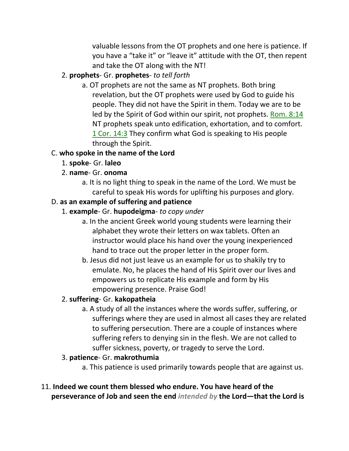valuable lessons from the OT prophets and one here is patience. If you have a "take it" or "leave it" attitude with the OT, then repent and take the OT along with the NT!

### 2. **prophets**- Gr. **prophetes**- *to tell forth*

a. OT prophets are not the same as NT prophets. Both bring revelation, but the OT prophets were used by God to guide his people. They did not have the Spirit in them. Today we are to be led by the Spirit of God within our spirit, not prophets. Rom. 8:14 NT prophets speak unto edification, exhortation, and to comfort. 1 Cor. 14:3 They confirm what God is speaking to His people through the Spirit.

# C. **who spoke in the name of the Lord**

- 1. **spoke** Gr. **laleo**
- 2. **name** Gr. **onoma**
	- a. It is no light thing to speak in the name of the Lord. We must be careful to speak His words for uplifting his purposes and glory.

# D. **as an example of suffering and patience**

- 1. **example** Gr. **hupodeigma** *to copy under*
	- a. In the ancient Greek world young students were learning their alphabet they wrote their letters on wax tablets. Often an instructor would place his hand over the young inexperienced hand to trace out the proper letter in the proper form.
	- b. Jesus did not just leave us an example for us to shakily try to emulate. No, he places the hand of His Spirit over our lives and empowers us to replicate His example and form by His empowering presence. Praise God!

# 2. **suffering**- Gr. **kakopatheia**

a. A study of all the instances where the words suffer, suffering, or sufferings where they are used in almost all cases they are related to suffering persecution. There are a couple of instances where suffering refers to denying sin in the flesh. We are not called to suffer sickness, poverty, or tragedy to serve the Lord.

# 3. **patience**- Gr. **makrothumia**

- a. This patience is used primarily towards people that are against us.
- 11. **Indeed we count them blessed who endure. You have heard of the perseverance of Job and seen the end** *intended by* **the Lord—that the Lord is**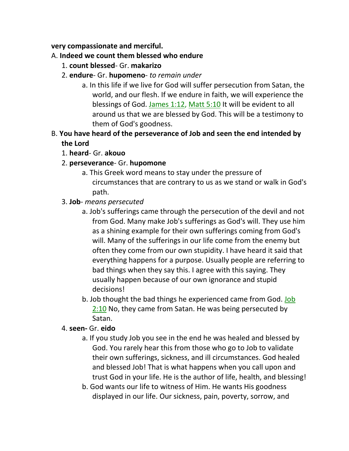#### **very compassionate and merciful.**

### A. **Indeed we count them blessed who endure**

- 1. **count blessed** Gr. **makarizo**
- 2. **endure** Gr. **hupomeno** *to remain under*
	- a. In this life if we live for God will suffer persecution from Satan, the world, and our flesh. If we endure in faith, we will experience the blessings of God. James 1:12, Matt 5:10 It will be evident to all around us that we are blessed by God. This will be a testimony to them of God's goodness.
- B. **You have heard of the perseverance of Job and seen the end intended by the Lord**
	- 1. **heard** Gr. **akouo**
	- 2. **perseverance** Gr. **hupomone**
		- a. This Greek word means to stay under the pressure of circumstances that are contrary to us as we stand or walk in God's path.
	- 3. **Job** *means persecuted*
		- a. Job's sufferings came through the persecution of the devil and not from God. Many make Job's sufferings as God's will. They use him as a shining example for their own sufferings coming from God's will. Many of the sufferings in our life come from the enemy but often they come from our own stupidity. I have heard it said that everything happens for a purpose. Usually people are referring to bad things when they say this. I agree with this saying. They usually happen because of our own ignorance and stupid decisions!
		- b. Job thought the bad things he experienced came from God. Job 2:10 No, they came from Satan. He was being persecuted by Satan.

### 4. **seen-** Gr. **eido**

- a. If you study Job you see in the end he was healed and blessed by God. You rarely hear this from those who go to Job to validate their own sufferings, sickness, and ill circumstances. God healed and blessed Job! That is what happens when you call upon and trust God in your life. He is the author of life, health, and blessing!
- b. God wants our life to witness of Him. He wants His goodness displayed in our life. Our sickness, pain, poverty, sorrow, and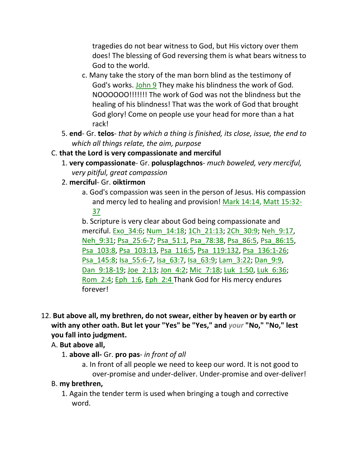tragedies do not bear witness to God, but His victory over them does! The blessing of God reversing them is what bears witness to God to the world.

- c. Many take the story of the man born blind as the testimony of God's works. John 9 They make his blindness the work of God. NOOOOOO!!!!!!! The work of God was not the blindness but the healing of his blindness! That was the work of God that brought God glory! Come on people use your head for more than a hat rack!
- 5. **end** Gr. **telos** *that by which a thing is finished, its close, issue, the end to which all things relate, the aim, purpose*
- C. **that the Lord is very compassionate and merciful**
	- 1. **very compassionate** Gr. **polusplagchnos** *much boweled, very merciful, very pitiful, great compassion*
	- 2. **merciful** Gr. **oiktirmon**
		- a. God's compassion was seen in the person of Jesus. His compassion and mercy led to healing and provision! Mark 14:14, Matt 15:32- 37

b. Scripture is very clear about God being compassionate and merciful. Exo\_34:6; Num\_14:18; 1Ch\_21:13; 2Ch\_30:9; Neh\_9:17, Neh\_9:31; Psa\_25:6-7; Psa\_51:1, Psa\_78:38, Psa\_86:5, Psa\_86:15, Psa\_103:8, Psa\_103:13, Psa\_116:5, Psa\_119:132, Psa\_136:1-26; Psa\_145:8; Isa\_55:6-7, Isa\_63:7, Isa\_63:9; Lam\_3:22; Dan\_9:9, Dan 9:18-19; Joe 2:13; Jon 4:2; Mic 7:18; Luk 1:50, Luk 6:36; Rom\_2:4; Eph\_1:6, Eph\_2:4 Thank God for His mercy endures forever!

- 12. **But above all, my brethren, do not swear, either by heaven or by earth or with any other oath. But let your "Yes" be "Yes," and** *your* **"No," "No," lest you fall into judgment.** 
	- A. **But above all,**
		- 1. **above all-** Gr. **pro pas** *in front of all*
			- a. In front of all people we need to keep our word. It is not good to over-promise and under-deliver. Under-promise and over-deliver!

#### B. **my brethren,**

1. Again the tender term is used when bringing a tough and corrective word.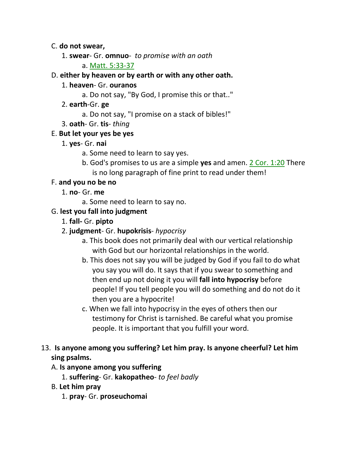#### C. **do not swear,**

- 1. **swear** Gr. **omnuo** *to promise with an oath*
	- a. Matt. 5:33-37

### D. **either by heaven or by earth or with any other oath.**

- 1. **heaven** Gr. **ouranos**
	- a. Do not say, "By God, I promise this or that.."
- 2. **earth**-Gr. **ge**
	- a. Do not say, "I promise on a stack of bibles!"
- 3. **oath** Gr. **tis** *thing*

### E. **But let your yes be yes**

- 1. **yes** Gr. **nai**
	- a. Some need to learn to say yes.
	- b. God's promises to us are a simple **yes** and amen. 2 Cor. 1:20 There is no long paragraph of fine print to read under them!

### F. **and you no be no**

- 1. **no** Gr. **me**
	- a. Some need to learn to say no.

# G. **lest you fall into judgment**

- 1. **fall-** Gr. **pipto**
- 2. **judgment** Gr. **hupokrisis** *hypocrisy*
	- a. This book does not primarily deal with our vertical relationship with God but our horizontal relationships in the world.
	- b. This does not say you will be judged by God if you fail to do what you say you will do. It says that if you swear to something and then end up not doing it you will **fall into hypocrisy** before people! If you tell people you will do something and do not do it then you are a hypocrite!
	- c. When we fall into hypocrisy in the eyes of others then our testimony for Christ is tarnished. Be careful what you promise people. It is important that you fulfill your word.

# 13. **Is anyone among you suffering? Let him pray. Is anyone cheerful? Let him sing psalms.**

### A. **Is anyone among you suffering**

- 1. **suffering** Gr. **kakopatheo** *to feel badly*
- B. **Let him pray**
	- 1. **pray** Gr. **proseuchomai**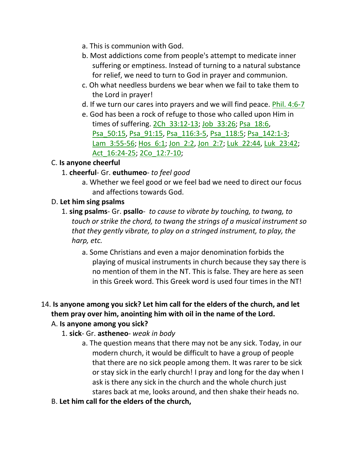- a. This is communion with God.
- b. Most addictions come from people's attempt to medicate inner suffering or emptiness. Instead of turning to a natural substance for relief, we need to turn to God in prayer and communion.
- c. Oh what needless burdens we bear when we fail to take them to the Lord in prayer!
- d. If we turn our cares into prayers and we will find peace. Phil. 4:6-7
- e. God has been a rock of refuge to those who called upon Him in times of suffering. 2Ch\_33:12-13; Job\_33:26; Psa\_18:6, Psa\_50:15, Psa\_91:15, Psa\_116:3-5, Psa\_118:5; Psa\_142:1-3; Lam\_3:55-56; Hos\_6:1; Jon\_2:2, Jon\_2:7; Luk\_22:44, Luk\_23:42; Act\_16:24-25; 2Co\_12:7-10;

### C. **Is anyone cheerful**

- 1. **cheerful** Gr. **euthumeo** *to feel good*
	- a. Whether we feel good or we feel bad we need to direct our focus and affections towards God.

### D. **Let him sing psalms**

- 1. **sing psalms** Gr. **psallo** *to cause to vibrate by touching, to twang, to touch or strike the chord, to twang the strings of a musical instrument so that they gently vibrate, to play on a stringed instrument, to play, the harp, etc.*
	- a. Some Christians and even a major denomination forbids the playing of musical instruments in church because they say there is no mention of them in the NT. This is false. They are here as seen in this Greek word. This Greek word is used four times in the NT!

# 14. **Is anyone among you sick? Let him call for the elders of the church, and let them pray over him, anointing him with oil in the name of the Lord.**

### A. **Is anyone among you sick?**

- 1. **sick** Gr. **astheneo** *weak in body*
	- a. The question means that there may not be any sick. Today, in our modern church, it would be difficult to have a group of people that there are no sick people among them. It was rarer to be sick or stay sick in the early church! I pray and long for the day when I ask is there any sick in the church and the whole church just stares back at me, looks around, and then shake their heads no.
- B. **Let him call for the elders of the church,**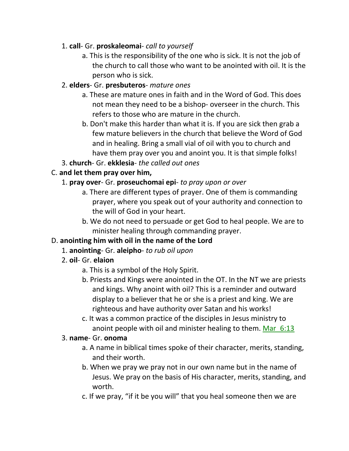### 1. **call**- Gr. **proskaleomai**- *call to yourself*

a. This is the responsibility of the one who is sick. It is not the job of the church to call those who want to be anointed with oil. It is the person who is sick.

### 2. **elders**- Gr. **presbuteros**- *mature ones*

- a. These are mature ones in faith and in the Word of God. This does not mean they need to be a bishop- overseer in the church. This refers to those who are mature in the church.
- b. Don't make this harder than what it is. If you are sick then grab a few mature believers in the church that believe the Word of God and in healing. Bring a small vial of oil with you to church and have them pray over you and anoint you. It is that simple folks!
- 3. **church** Gr. **ekklesia** *the called out ones*

# C. **and let them pray over him,**

# 1. **pray over**- Gr. **proseuchomai epi**- *to pray upon or over*

- a. There are different types of prayer. One of them is commanding prayer, where you speak out of your authority and connection to the will of God in your heart.
- b. We do not need to persuade or get God to heal people. We are to minister healing through commanding prayer.

# D. **anointing him with oil in the name of the Lord**

- 1. **anointing** Gr. **aleipho** *to rub oil upon*
- 2. **oil** Gr. **elaion**
	- a. This is a symbol of the Holy Spirit.
	- b. Priests and Kings were anointed in the OT. In the NT we are priests and kings. Why anoint with oil? This is a reminder and outward display to a believer that he or she is a priest and king. We are righteous and have authority over Satan and his works!
	- c. It was a common practice of the disciples in Jesus ministry to anoint people with oil and minister healing to them. Mar  $6:13$

### 3. **name**- Gr. **onoma**

- a. A name in biblical times spoke of their character, merits, standing, and their worth.
- b. When we pray we pray not in our own name but in the name of Jesus. We pray on the basis of His character, merits, standing, and worth.
- c. If we pray, "if it be you will" that you heal someone then we are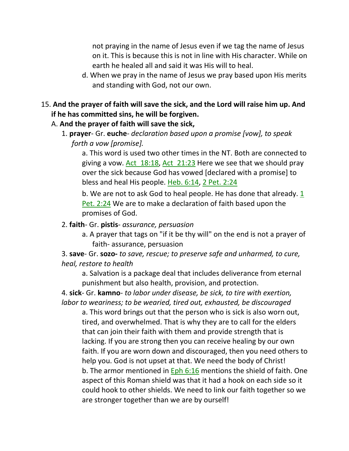not praying in the name of Jesus even if we tag the name of Jesus on it. This is because this is not in line with His character. While on earth he healed all and said it was His will to heal.

- d. When we pray in the name of Jesus we pray based upon His merits and standing with God, not our own.
- 15. **And the prayer of faith will save the sick, and the Lord will raise him up. And if he has committed sins, he will be forgiven.** 
	- A. **And the prayer of faith will save the sick,**
		- 1. **prayer** Gr. **euche** *declaration based upon a promise [vow], to speak forth a vow [promise].*

a. This word is used two other times in the NT. Both are connected to giving a vow. Act\_18:18, Act\_21:23 Here we see that we should pray over the sick because God has vowed [declared with a promise] to bless and heal His people. Heb. 6:14, 2 Pet. 2:24

b. We are not to ask God to heal people. He has done that already.  $1/2$ Pet. 2:24 We are to make a declaration of faith based upon the promises of God.

#### 2. **faith**- Gr. **pistis**- *assurance, persuasion*

a. A prayer that tags on "if it be thy will" on the end is not a prayer of faith- assurance, persuasion

3. **save**- Gr. **sozo-** *to save, rescue; to preserve safe and unharmed, to cure, heal, restore to health*

a. Salvation is a package deal that includes deliverance from eternal punishment but also health, provision, and protection.

4. **sick**- Gr. **kamno**- *to labor under disease, be sick, to tire with exertion, labor to weariness; to be wearied, tired out, exhausted, be discouraged*

a. This word brings out that the person who is sick is also worn out, tired, and overwhelmed. That is why they are to call for the elders that can join their faith with them and provide strength that is lacking. If you are strong then you can receive healing by our own faith. If you are worn down and discouraged, then you need others to help you. God is not upset at that. We need the body of Christ! b. The armor mentioned in Eph 6:16 mentions the shield of faith. One aspect of this Roman shield was that it had a hook on each side so it could hook to other shields. We need to link our faith together so we are stronger together than we are by ourself!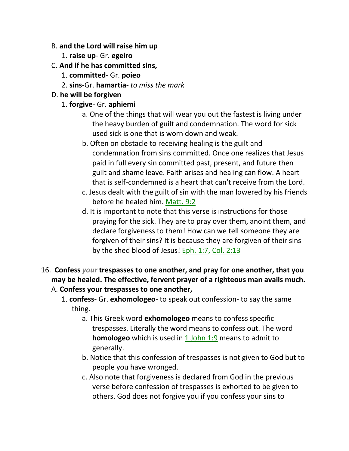#### B. **and the Lord will raise him up**

- 1. **raise up** Gr. **egeiro**
- C. **And if he has committed sins,**
	- 1. **committed** Gr. **poieo**
	- 2. **sins**-Gr. **hamartia** *to miss the mark*

### D. **he will be forgiven**

### 1. **forgive**- Gr. **aphiemi**

- a. One of the things that will wear you out the fastest is living under the heavy burden of guilt and condemnation. The word for sick used sick is one that is worn down and weak.
- b. Often on obstacle to receiving healing is the guilt and condemnation from sins committed. Once one realizes that Jesus paid in full every sin committed past, present, and future then guilt and shame leave. Faith arises and healing can flow. A heart that is self-condemned is a heart that can't receive from the Lord.
- c. Jesus dealt with the guilt of sin with the man lowered by his friends before he healed him. Matt. 9:2
- d. It is important to note that this verse is instructions for those praying for the sick. They are to pray over them, anoint them, and declare forgiveness to them! How can we tell someone they are forgiven of their sins? It is because they are forgiven of their sins by the shed blood of Jesus! Eph. 1:7, Col. 2:13
- 16. **Confess** *your* **trespasses to one another, and pray for one another, that you may be healed. The effective, fervent prayer of a righteous man avails much.**  A. **Confess your trespasses to one another,**
	- 1. **confess** Gr. **exhomologeo** to speak out confession- to say the same thing.
		- a. This Greek word **exhomologeo** means to confess specific trespasses. Literally the word means to confess out. The word **homologeo** which is used in 1 John 1:9 means to admit to generally.
		- b. Notice that this confession of trespasses is not given to God but to people you have wronged.
		- c. Also note that forgiveness is declared from God in the previous verse before confession of trespasses is exhorted to be given to others. God does not forgive you if you confess your sins to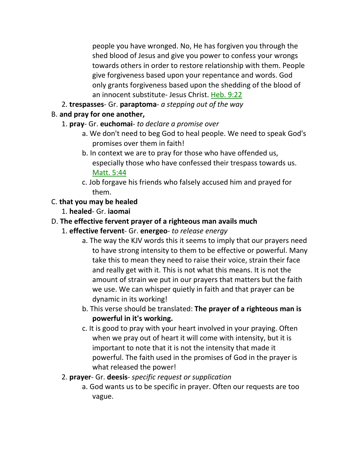people you have wronged. No, He has forgiven you through the shed blood of Jesus and give you power to confess your wrongs towards others in order to restore relationship with them. People give forgiveness based upon your repentance and words. God only grants forgiveness based upon the shedding of the blood of an innocent substitute- Jesus Christ. Heb. 9:22

2. **trespasses**- Gr. **paraptoma**- *a stepping out of the way*

# B. **and pray for one another,**

- 1. **pray** Gr. **euchomai** *to declare a promise over*
	- a. We don't need to beg God to heal people. We need to speak God's promises over them in faith!
	- b. In context we are to pray for those who have offended us, especially those who have confessed their trespass towards us. Matt. 5:44
	- c. Job forgave his friends who falsely accused him and prayed for them.

# C. **that you may be healed**

1. **healed**- Gr. **iaomai**

# D. **The effective fervent prayer of a righteous man avails much**

- 1. **effective fervent** Gr. **energeo** *to release energy*
	- a. The way the KJV words this it seems to imply that our prayers need to have strong intensity to them to be effective or powerful. Many take this to mean they need to raise their voice, strain their face and really get with it. This is not what this means. It is not the amount of strain we put in our prayers that matters but the faith we use. We can whisper quietly in faith and that prayer can be dynamic in its working!
	- b. This verse should be translated: **The prayer of a righteous man is powerful in it's working.**
	- c. It is good to pray with your heart involved in your praying. Often when we pray out of heart it will come with intensity, but it is important to note that it is not the intensity that made it powerful. The faith used in the promises of God in the prayer is what released the power!
- 2. **prayer** Gr. **deesis** *specific request or supplication*
	- a. God wants us to be specific in prayer. Often our requests are too vague.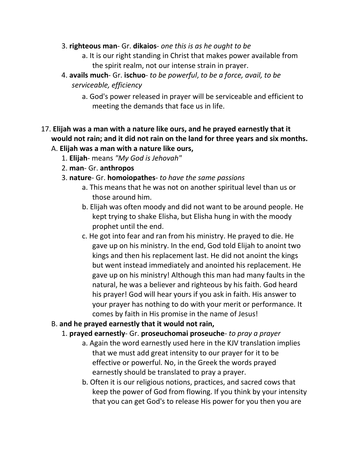- 3. **righteous man** Gr. **dikaios** *one this is as he ought to be*
	- a. It is our right standing in Christ that makes power available from the spirit realm, not our intense strain in prayer.
- 4. **avails much** Gr. **ischuo** *to be powerful*, *to be a force, avail, to be serviceable, efficiency*
	- a. God's power released in prayer will be serviceable and efficient to meeting the demands that face us in life.

# 17. **Elijah was a man with a nature like ours, and he prayed earnestly that it would not rain; and it did not rain on the land for three years and six months.**

- A. **Elijah was a man with a nature like ours,**
	- 1. **Elijah** means *"My God is Jehovah"*
	- 2. **man** Gr. **anthropos**
	- 3. **nature** Gr. **homoiopathes** *to have the same passions*
		- a. This means that he was not on another spiritual level than us or those around him.
		- b. Elijah was often moody and did not want to be around people. He kept trying to shake Elisha, but Elisha hung in with the moody prophet until the end.
		- c. He got into fear and ran from his ministry. He prayed to die. He gave up on his ministry. In the end, God told Elijah to anoint two kings and then his replacement last. He did not anoint the kings but went instead immediately and anointed his replacement. He gave up on his ministry! Although this man had many faults in the natural, he was a believer and righteous by his faith. God heard his prayer! God will hear yours if you ask in faith. His answer to your prayer has nothing to do with your merit or performance. It comes by faith in His promise in the name of Jesus!
- B. **and he prayed earnestly that it would not rain,**
	- 1. **prayed earnestly** Gr. **proseuchomai proseuche** *to pray a prayer*
		- a. Again the word earnestly used here in the KJV translation implies that we must add great intensity to our prayer for it to be effective or powerful. No, in the Greek the words prayed earnestly should be translated to pray a prayer.
		- b. Often it is our religious notions, practices, and sacred cows that keep the power of God from flowing. If you think by your intensity that you can get God's to release His power for you then you are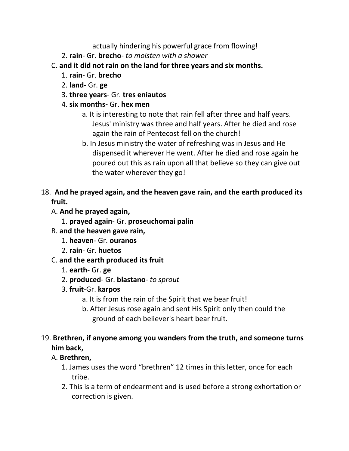actually hindering his powerful grace from flowing!

- 2. **rain** Gr. **brecho** *to moisten with a shower*
- C. **and it did not rain on the land for three years and six months.**
	- 1. **rain** Gr. **brecho**
	- 2. **land-** Gr. **ge**
	- 3. **three years** Gr. **tres eniautos**
	- 4. **six months-** Gr. **hex men**
		- a. It is interesting to note that rain fell after three and half years. Jesus' ministry was three and half years. After he died and rose again the rain of Pentecost fell on the church!
		- b. In Jesus ministry the water of refreshing was in Jesus and He dispensed it wherever He went. After he died and rose again he poured out this as rain upon all that believe so they can give out the water wherever they go!
- 18. **And he prayed again, and the heaven gave rain, and the earth produced its fruit.** 
	- A. **And he prayed again,**
		- 1. **prayed again** Gr. **proseuchomai palin**
	- B. **and the heaven gave rain,**
		- 1. **heaven** Gr. **ouranos**
		- 2. **rain** Gr. **huetos**
	- C. **and the earth produced its fruit**
		- 1. **earth** Gr. **ge**
		- 2. **produced** Gr. **blastano** *to sprout*
		- 3. **fruit**-Gr. **karpos**
			- a. It is from the rain of the Spirit that we bear fruit!
			- b. After Jesus rose again and sent His Spirit only then could the ground of each believer's heart bear fruit.

# 19. **Brethren, if anyone among you wanders from the truth, and someone turns him back,**

# A. **Brethren,**

- 1. James uses the word "brethren" 12 times in this letter, once for each tribe.
- 2. This is a term of endearment and is used before a strong exhortation or correction is given.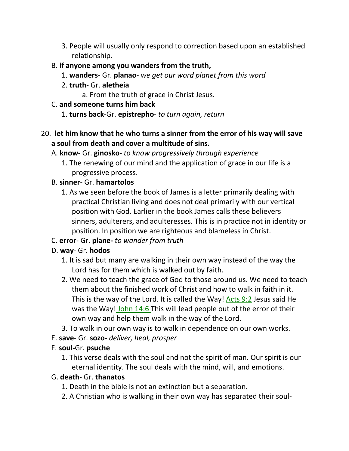3. People will usually only respond to correction based upon an established relationship.

#### B. **if anyone among you wanders from the truth,**

- 1. **wanders** Gr. **planao** *we get our word planet from this word*
- 2. **truth** Gr. **aletheia**
	- a. From the truth of grace in Christ Jesus.

#### C. **and someone turns him back**

1. **turns back**-Gr. **epistrepho**- *to turn again, return*

### 20. **let him know that he who turns a sinner from the error of his way will save a soul from death and cover a multitude of sins.**

- A. **know** Gr. **ginosko** *to know progressively through experience*
	- 1. The renewing of our mind and the application of grace in our life is a progressive process.

### B. **sinner**- Gr. **hamartolos**

1. As we seen before the book of James is a letter primarily dealing with practical Christian living and does not deal primarily with our vertical position with God. Earlier in the book James calls these believers sinners, adulterers, and adulteresses. This is in practice not in identity or position. In position we are righteous and blameless in Christ.

# C. **error**- Gr. **plane-** *to wander from truth*

### D. **way**- Gr. **hodos**

- 1. It is sad but many are walking in their own way instead of the way the Lord has for them which is walked out by faith.
- 2. We need to teach the grace of God to those around us. We need to teach them about the finished work of Christ and how to walk in faith in it. This is the way of the Lord. It is called the Way! Acts 9:2 Jesus said He was the Way! John 14:6 This will lead people out of the error of their own way and help them walk in the way of the Lord.
- 3. To walk in our own way is to walk in dependence on our own works.
- E. **save** Gr. **sozo-** *deliver, heal, prosper*

### F. **soul-**Gr. **psuche**

1. This verse deals with the soul and not the spirit of man. Our spirit is our eternal identity. The soul deals with the mind, will, and emotions.

### G. **death**- Gr. **thanatos**

- 1. Death in the bible is not an extinction but a separation.
- 2. A Christian who is walking in their own way has separated their soul-